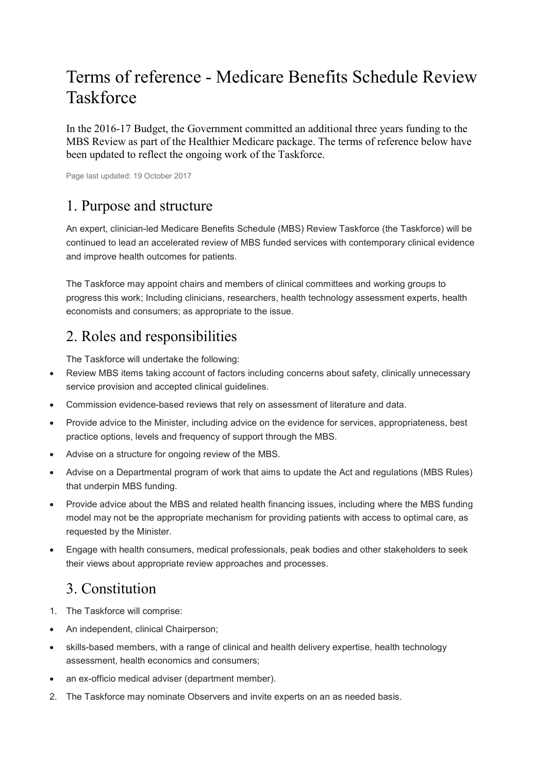## Terms of reference - Medicare Benefits Schedule Review **Taskforce**

In the 2016-17 Budget, the Government committed an additional three years funding to the MBS Review as part of the Healthier Medicare package. The terms of reference below have been updated to reflect the ongoing work of the Taskforce.

Page last updated: 19 October 2017

## 1. Purpose and structure

An expert, clinician-led Medicare Benefits Schedule (MBS) Review Taskforce (the Taskforce) will be continued to lead an accelerated review of MBS funded services with contemporary clinical evidence and improve health outcomes for patients.

The Taskforce may appoint chairs and members of clinical committees and working groups to progress this work; Including clinicians, researchers, health technology assessment experts, health economists and consumers; as appropriate to the issue.

## 2. Roles and responsibilities

The Taskforce will undertake the following:

- Review MBS items taking account of factors including concerns about safety, clinically unnecessary service provision and accepted clinical guidelines.
- Commission evidence-based reviews that rely on assessment of literature and data.
- Provide advice to the Minister, including advice on the evidence for services, appropriateness, best practice options, levels and frequency of support through the MBS.
- Advise on a structure for ongoing review of the MBS.
- Advise on a Departmental program of work that aims to update the Act and regulations (MBS Rules) that underpin MBS funding.
- Provide advice about the MBS and related health financing issues, including where the MBS funding model may not be the appropriate mechanism for providing patients with access to optimal care, as requested by the Minister.
- Engage with health consumers, medical professionals, peak bodies and other stakeholders to seek their views about appropriate review approaches and processes.

## 3. Constitution

- 1. The Taskforce will comprise:
- An independent, clinical Chairperson;
- skills-based members, with a range of clinical and health delivery expertise, health technology assessment, health economics and consumers;
- an ex-officio medical adviser (department member).
- 2. The Taskforce may nominate Observers and invite experts on an as needed basis.